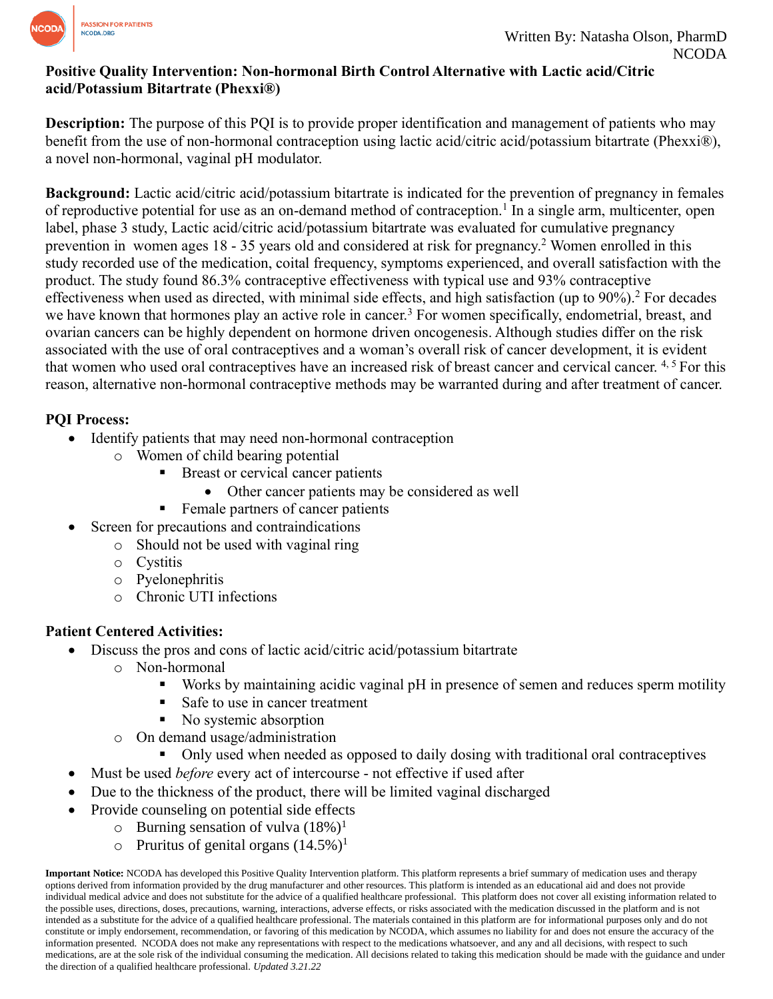

#### **Positive Quality Intervention: Non-hormonal Birth Control Alternative with Lactic acid/Citric acid/Potassium Bitartrate (Phexxi®)**

**Description:** The purpose of this PQI is to provide proper identification and management of patients who may benefit from the use of non-hormonal contraception using lactic acid/citric acid/potassium bitartrate (Phexxi®), a novel non-hormonal, vaginal pH modulator.

**Background:** Lactic acid/citric acid/potassium bitartrate is indicated for the prevention of pregnancy in females of reproductive potential for use as an on-demand method of contraception.<sup>1</sup> In a single arm, multicenter, open label, phase 3 study, Lactic acid/citric acid/potassium bitartrate was evaluated for cumulative pregnancy prevention in women ages 18 - 35 years old and considered at risk for pregnancy.<sup>2</sup> Women enrolled in this study recorded use of the medication, coital frequency, symptoms experienced, and overall satisfaction with the product. The study found 86.3% contraceptive effectiveness with typical use and 93% contraceptive effectiveness when used as directed, with minimal side effects, and high satisfaction (up to 90%). <sup>2</sup> For decades we have known that hormones play an active role in cancer.<sup>3</sup> For women specifically, endometrial, breast, and ovarian cancers can be highly dependent on hormone driven oncogenesis. Although studies differ on the risk associated with the use of oral contraceptives and a woman's overall risk of cancer development, it is evident that women who used oral contraceptives have an increased risk of breast cancer and cervical cancer. <sup>4, 5</sup> For this reason, alternative non-hormonal contraceptive methods may be warranted during and after treatment of cancer.

## **PQI Process:**

- Identify patients that may need non-hormonal contraception
	- o Women of child bearing potential
		- Breast or cervical cancer patients
			- Other cancer patients may be considered as well
		- Female partners of cancer patients
- Screen for precautions and contraindications
	- o Should not be used with vaginal ring
	- o Cystitis
	- o Pyelonephritis
	- o Chronic UTI infections

# **Patient Centered Activities:**

- Discuss the pros and cons of lactic acid/citric acid/potassium bitartrate
	- o Non-hormonal
		- Works by maintaining acidic vaginal pH in presence of semen and reduces sperm motility
		- Safe to use in cancer treatment
		- No systemic absorption
	- o On demand usage/administration
		- Only used when needed as opposed to daily dosing with traditional oral contraceptives
- Must be used *before* every act of intercourse not effective if used after
- Due to the thickness of the product, there will be limited vaginal discharged
- Provide counseling on potential side effects
	- $\circ$  Burning sensation of vulva  $(18\%)^1$ 
		- $\circ$  Pruritus of genital organs (14.5%)<sup>1</sup>

**Important Notice:** NCODA has developed this Positive Quality Intervention platform. This platform represents a brief summary of medication uses and therapy options derived from information provided by the drug manufacturer and other resources. This platform is intended as an educational aid and does not provide individual medical advice and does not substitute for the advice of a qualified healthcare professional. This platform does not cover all existing information related to the possible uses, directions, doses, precautions, warning, interactions, adverse effects, or risks associated with the medication discussed in the platform and is not intended as a substitute for the advice of a qualified healthcare professional. The materials contained in this platform are for informational purposes only and do not constitute or imply endorsement, recommendation, or favoring of this medication by NCODA, which assumes no liability for and does not ensure the accuracy of the information presented. NCODA does not make any representations with respect to the medications whatsoever, and any and all decisions, with respect to such medications, are at the sole risk of the individual consuming the medication. All decisions related to taking this medication should be made with the guidance and under the direction of a qualified healthcare professional. *Updated 3.21.22*